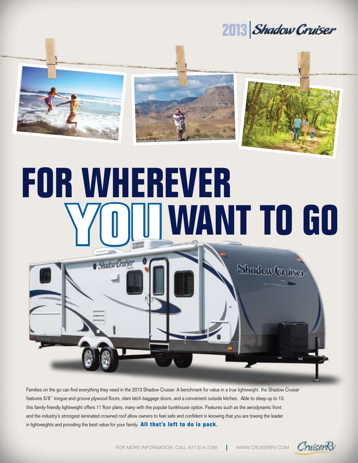### 2013 *Shadow Cruiser*

Shadow Cruiser



# **For Wherever COLLUMANT TO GO**

Families on the go can find everything they need in the 2013 Shadow Cruiser. A benchmark for value in a true lightweight, the Shadow Cruiser features 5/8" tongue and groove plywood floors, slam latch baggage doors, and a convenient outside kitchen. Able to sleep up to 10, this family-friendly lightweight offers 11 floor plans, many with the popular bunkhouse option. Features such as the aerodynamic front and the industry's strongest laminated crowned roof allow owners to feel safe and confident in knowing that you are towing the leader in lightweights and providing the best value for your family. **All that's left to do is pack.**